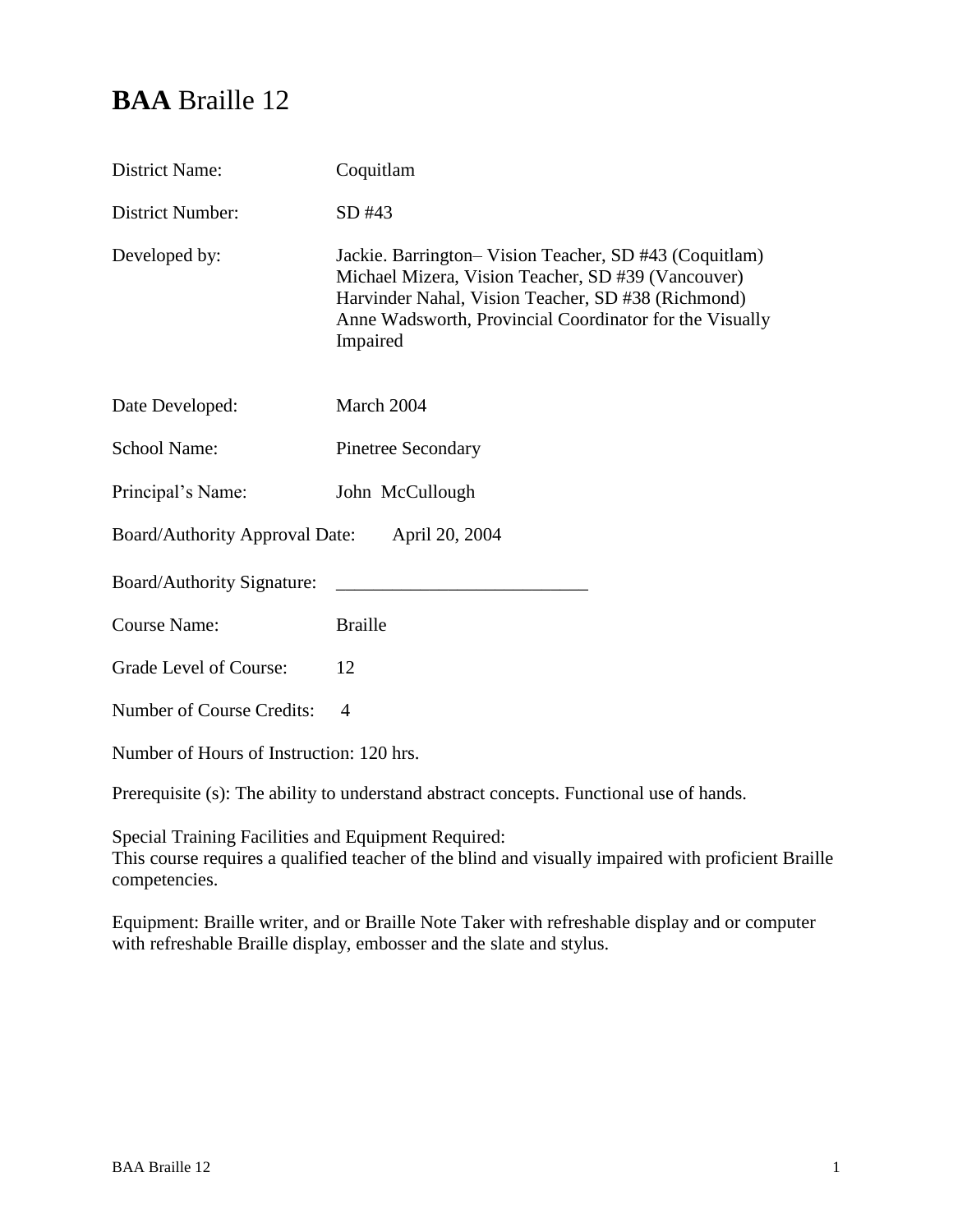# **BAA** Braille 12

| <b>District Name:</b>                                                                                                                                                                                                          | Coquitlam                                                                                                                                                                                                                                |  |
|--------------------------------------------------------------------------------------------------------------------------------------------------------------------------------------------------------------------------------|------------------------------------------------------------------------------------------------------------------------------------------------------------------------------------------------------------------------------------------|--|
| District Number:                                                                                                                                                                                                               | SD #43                                                                                                                                                                                                                                   |  |
| Developed by:                                                                                                                                                                                                                  | Jackie. Barrington-Vision Teacher, SD #43 (Coquitlam)<br>Michael Mizera, Vision Teacher, SD #39 (Vancouver)<br>Harvinder Nahal, Vision Teacher, SD #38 (Richmond)<br>Anne Wadsworth, Provincial Coordinator for the Visually<br>Impaired |  |
| Date Developed:                                                                                                                                                                                                                | March 2004                                                                                                                                                                                                                               |  |
| <b>School Name:</b>                                                                                                                                                                                                            | <b>Pinetree Secondary</b>                                                                                                                                                                                                                |  |
| Principal's Name:                                                                                                                                                                                                              | John McCullough                                                                                                                                                                                                                          |  |
| <b>Board/Authority Approval Date:</b><br>April 20, 2004                                                                                                                                                                        |                                                                                                                                                                                                                                          |  |
| Board/Authority Signature:                                                                                                                                                                                                     |                                                                                                                                                                                                                                          |  |
| <b>Course Name:</b>                                                                                                                                                                                                            | <b>Braille</b>                                                                                                                                                                                                                           |  |
| Grade Level of Course:                                                                                                                                                                                                         | 12                                                                                                                                                                                                                                       |  |
| Number of Course Credits:                                                                                                                                                                                                      | $\overline{A}$                                                                                                                                                                                                                           |  |
| Number of Hours of Instruction: 120 hrs.                                                                                                                                                                                       |                                                                                                                                                                                                                                          |  |
| $\mathbf{D}_{\text{source}}$ and the $\langle \cdot \rangle$ of $\mathbf{D}_{\text{core}}$ is the continuation of the continuation of $\mathbf{D}_{\text{core}}$ and $\mathbf{D}_{\text{core}}$ and $\mathbf{D}_{\text{core}}$ |                                                                                                                                                                                                                                          |  |

Prerequisite (s): The ability to understand abstract concepts. Functional use of hands.

Special Training Facilities and Equipment Required: This course requires a qualified teacher of the blind and visually impaired with proficient Braille competencies.

Equipment: Braille writer, and or Braille Note Taker with refreshable display and or computer with refreshable Braille display, embosser and the slate and stylus.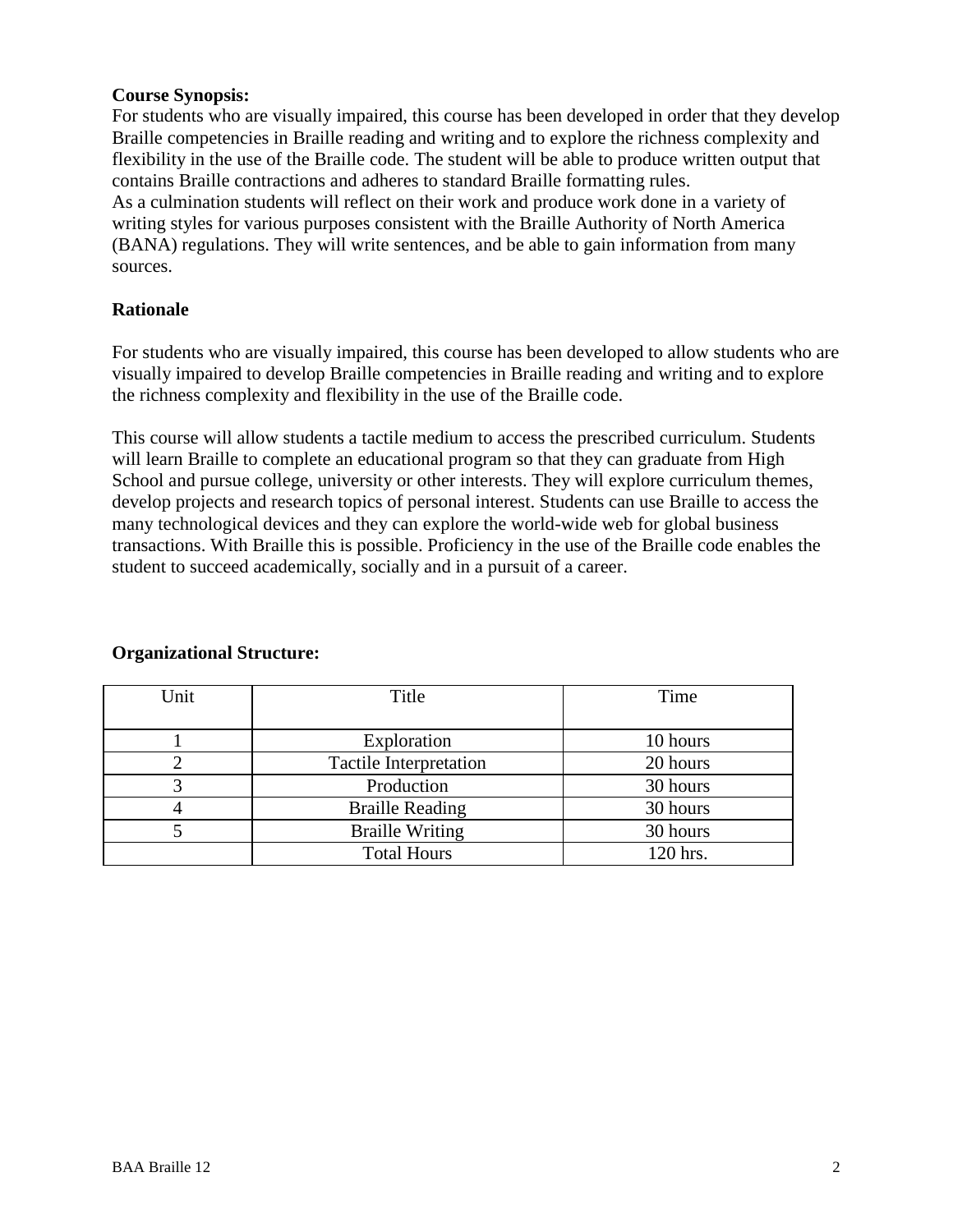# **Course Synopsis:**

For students who are visually impaired, this course has been developed in order that they develop Braille competencies in Braille reading and writing and to explore the richness complexity and flexibility in the use of the Braille code. The student will be able to produce written output that contains Braille contractions and adheres to standard Braille formatting rules. As a culmination students will reflect on their work and produce work done in a variety of writing styles for various purposes consistent with the Braille Authority of North America

(BANA) regulations. They will write sentences, and be able to gain information from many sources.

# **Rationale**

For students who are visually impaired, this course has been developed to allow students who are visually impaired to develop Braille competencies in Braille reading and writing and to explore the richness complexity and flexibility in the use of the Braille code.

This course will allow students a tactile medium to access the prescribed curriculum. Students will learn Braille to complete an educational program so that they can graduate from High School and pursue college, university or other interests. They will explore curriculum themes, develop projects and research topics of personal interest. Students can use Braille to access the many technological devices and they can explore the world-wide web for global business transactions. With Braille this is possible. Proficiency in the use of the Braille code enables the student to succeed academically, socially and in a pursuit of a career.

| Unit | Title                  | Time     |
|------|------------------------|----------|
|      |                        |          |
|      | Exploration            | 10 hours |
|      | Tactile Interpretation | 20 hours |
|      | Production             | 30 hours |
|      | <b>Braille Reading</b> | 30 hours |
|      | <b>Braille Writing</b> | 30 hours |
|      | <b>Total Hours</b>     | 120 hrs. |

### **Organizational Structure:**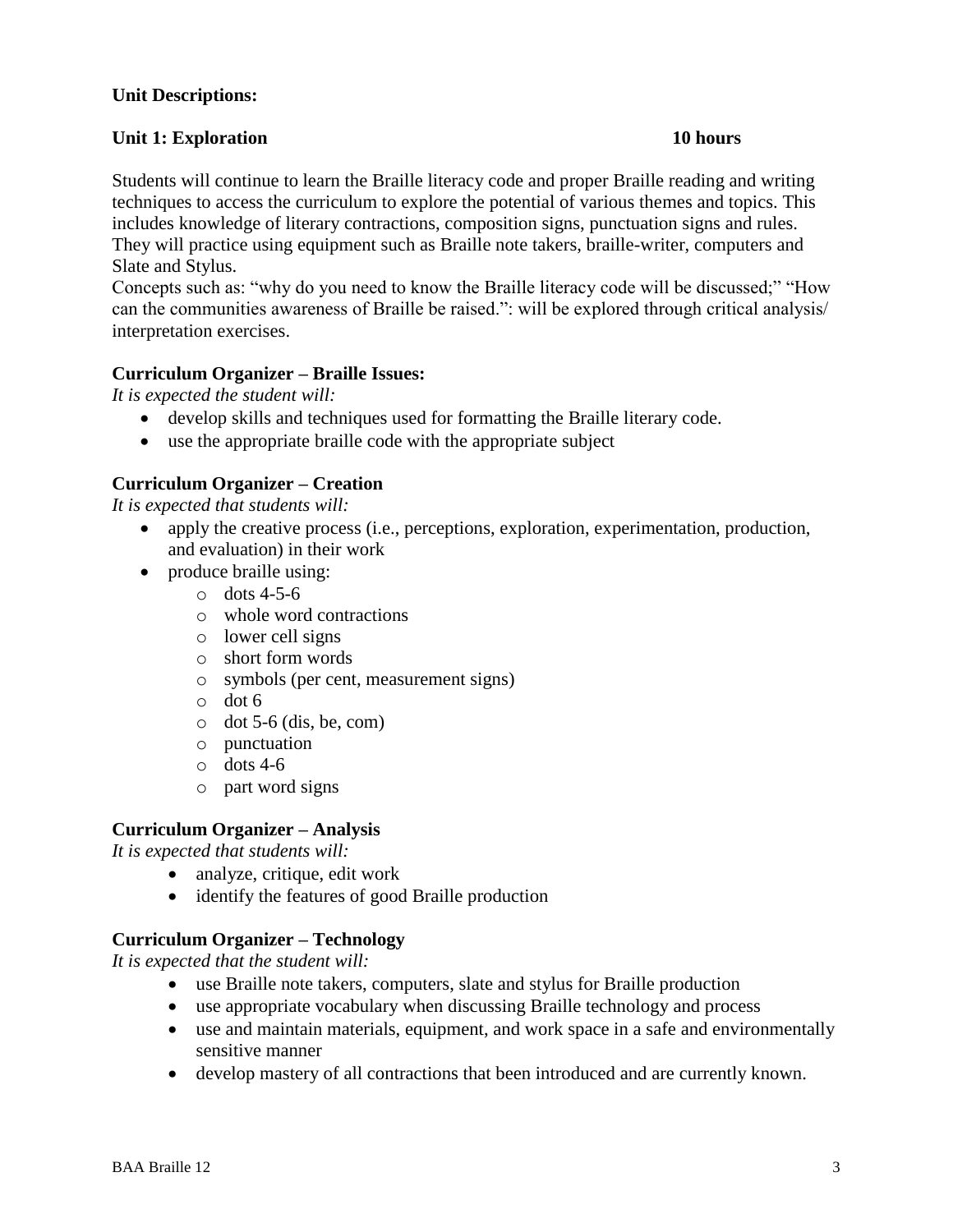# **Unit Descriptions:**

### **Unit 1: Exploration 10 hours**

Students will continue to learn the Braille literacy code and proper Braille reading and writing techniques to access the curriculum to explore the potential of various themes and topics. This includes knowledge of literary contractions, composition signs, punctuation signs and rules. They will practice using equipment such as Braille note takers, braille-writer, computers and Slate and Stylus.

Concepts such as: "why do you need to know the Braille literacy code will be discussed;" "How can the communities awareness of Braille be raised.": will be explored through critical analysis/ interpretation exercises.

### **Curriculum Organizer – Braille Issues:**

*It is expected the student will:*

- develop skills and techniques used for formatting the Braille literary code.
- use the appropriate braille code with the appropriate subject

#### **Curriculum Organizer – Creation**

*It is expected that students will:*

- apply the creative process (i.e., perceptions, exploration, experimentation, production, and evaluation) in their work
- produce braille using:
	- $\circ$  dots 4-5-6
	- o whole word contractions
	- o lower cell signs
	- o short form words
	- o symbols (per cent, measurement signs)
	- o dot 6
	- $\circ$  dot 5-6 (dis, be, com)
	- o punctuation
	- $\circ$  dots 4-6
	- o part word signs

### **Curriculum Organizer – Analysis**

*It is expected that students will:*

- analyze, critique, edit work
- identify the features of good Braille production

# **Curriculum Organizer – Technology**

*It is expected that the student will:*

- use Braille note takers, computers, slate and stylus for Braille production
- use appropriate vocabulary when discussing Braille technology and process
- use and maintain materials, equipment, and work space in a safe and environmentally sensitive manner
- develop mastery of all contractions that been introduced and are currently known.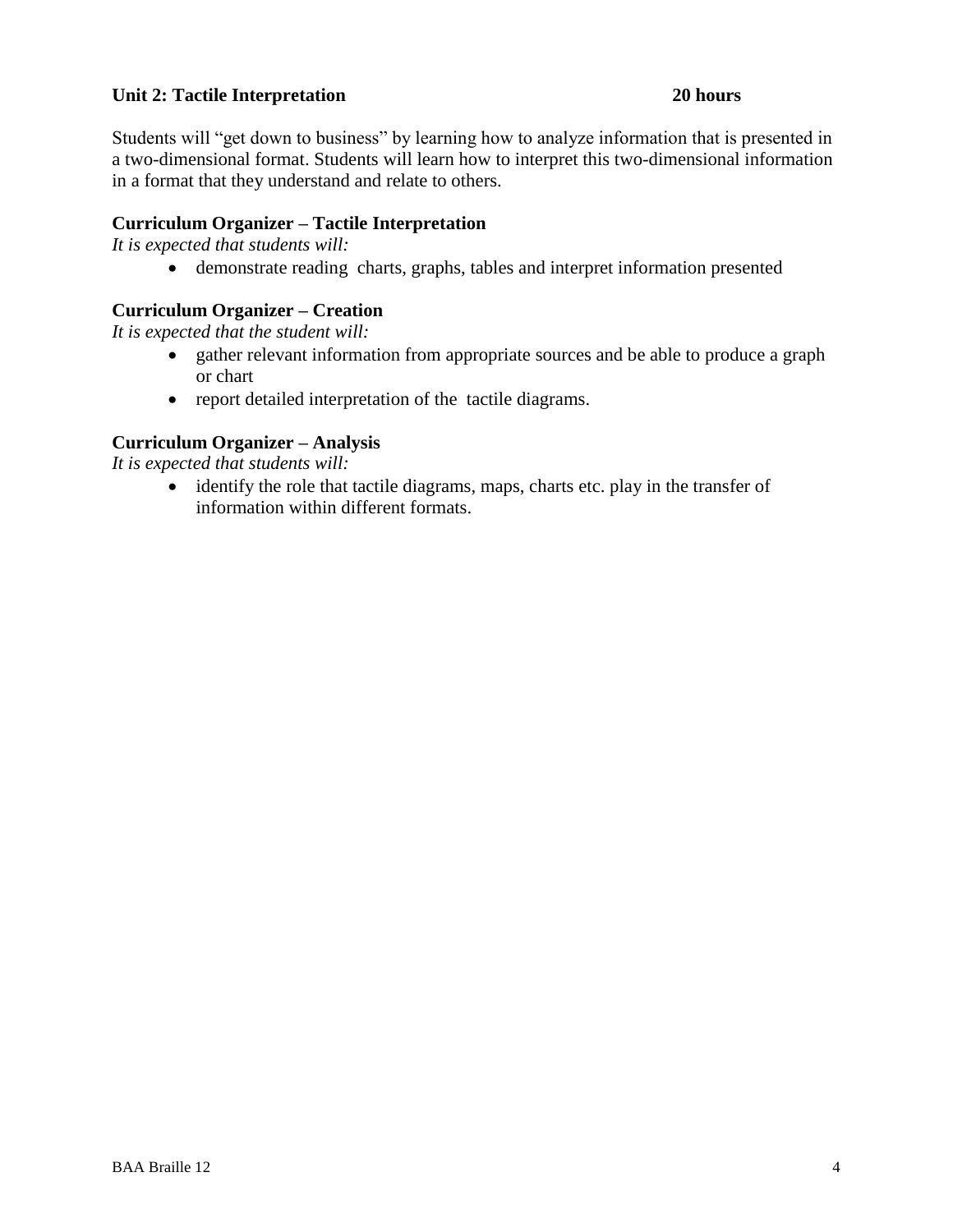# **Unit 2: Tactile Interpretation 20 hours**

Students will "get down to business" by learning how to analyze information that is presented in a two-dimensional format. Students will learn how to interpret this two-dimensional information in a format that they understand and relate to others.

# **Curriculum Organizer – Tactile Interpretation**

*It is expected that students will:*

demonstrate reading charts, graphs, tables and interpret information presented

# **Curriculum Organizer – Creation**

*It is expected that the student will:*

- gather relevant information from appropriate sources and be able to produce a graph or chart
- report detailed interpretation of the tactile diagrams.

# **Curriculum Organizer – Analysis**

*It is expected that students will:*

• identify the role that tactile diagrams, maps, charts etc. play in the transfer of information within different formats.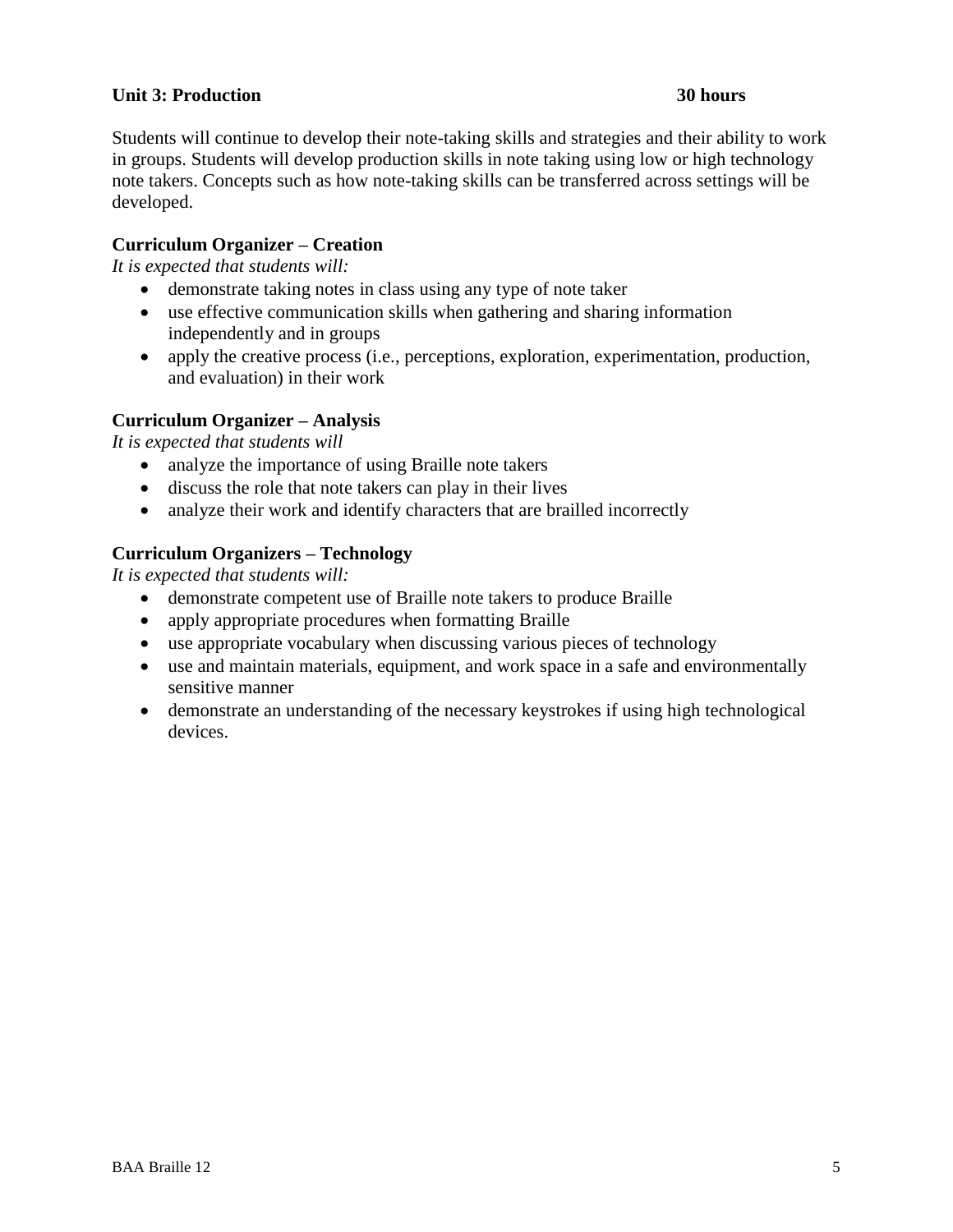# **Unit 3: Production 30 hours**

Students will continue to develop their note-taking skills and strategies and their ability to work in groups. Students will develop production skills in note taking using low or high technology note takers. Concepts such as how note-taking skills can be transferred across settings will be developed.

# **Curriculum Organizer – Creation**

*It is expected that students will:*

- demonstrate taking notes in class using any type of note taker
- use effective communication skills when gathering and sharing information independently and in groups
- apply the creative process (i.e., perceptions, exploration, experimentation, production, and evaluation) in their work

# **Curriculum Organizer – Analysis**

*It is expected that students will* 

- analyze the importance of using Braille note takers
- discuss the role that note takers can play in their lives
- analyze their work and identify characters that are brailled incorrectly

# **Curriculum Organizers – Technology**

*It is expected that students will:*

- demonstrate competent use of Braille note takers to produce Braille
- apply appropriate procedures when formatting Braille
- use appropriate vocabulary when discussing various pieces of technology
- use and maintain materials, equipment, and work space in a safe and environmentally sensitive manner
- demonstrate an understanding of the necessary keystrokes if using high technological devices.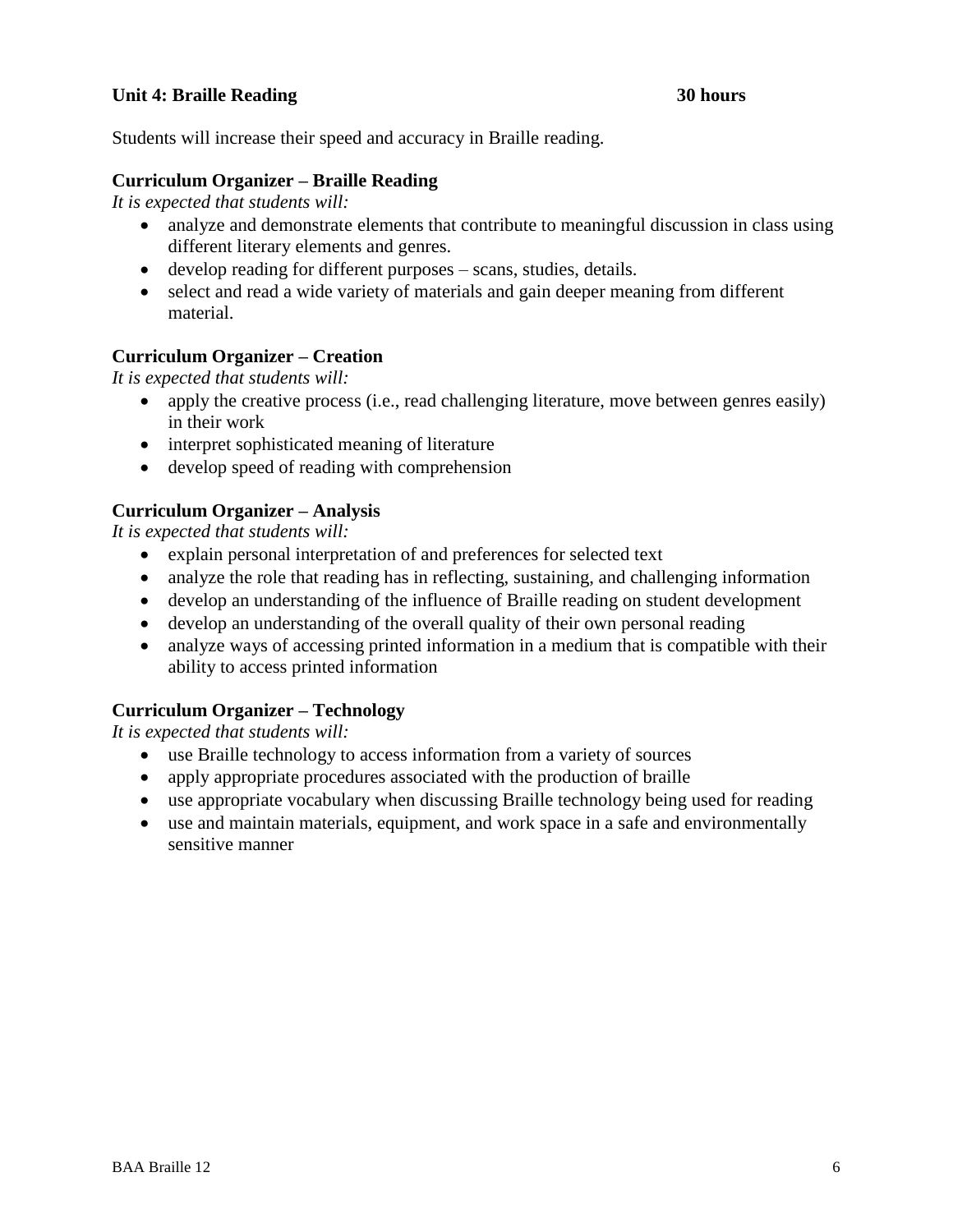# **Unit 4: Braille Reading 30 hours**

Students will increase their speed and accuracy in Braille reading.

### **Curriculum Organizer – Braille Reading**

*It is expected that students will:*

- analyze and demonstrate elements that contribute to meaningful discussion in class using different literary elements and genres.
- develop reading for different purposes scans, studies, details.
- select and read a wide variety of materials and gain deeper meaning from different material.

#### **Curriculum Organizer – Creation**

*It is expected that students will:* 

- apply the creative process (i.e., read challenging literature, move between genres easily) in their work
- interpret sophisticated meaning of literature
- develop speed of reading with comprehension

#### **Curriculum Organizer – Analysis**

*It is expected that students will:*

- explain personal interpretation of and preferences for selected text
- analyze the role that reading has in reflecting, sustaining, and challenging information
- develop an understanding of the influence of Braille reading on student development
- develop an understanding of the overall quality of their own personal reading
- analyze ways of accessing printed information in a medium that is compatible with their ability to access printed information

### **Curriculum Organizer – Technology**

*It is expected that students will:*

- use Braille technology to access information from a variety of sources
- apply appropriate procedures associated with the production of braille
- use appropriate vocabulary when discussing Braille technology being used for reading
- use and maintain materials, equipment, and work space in a safe and environmentally sensitive manner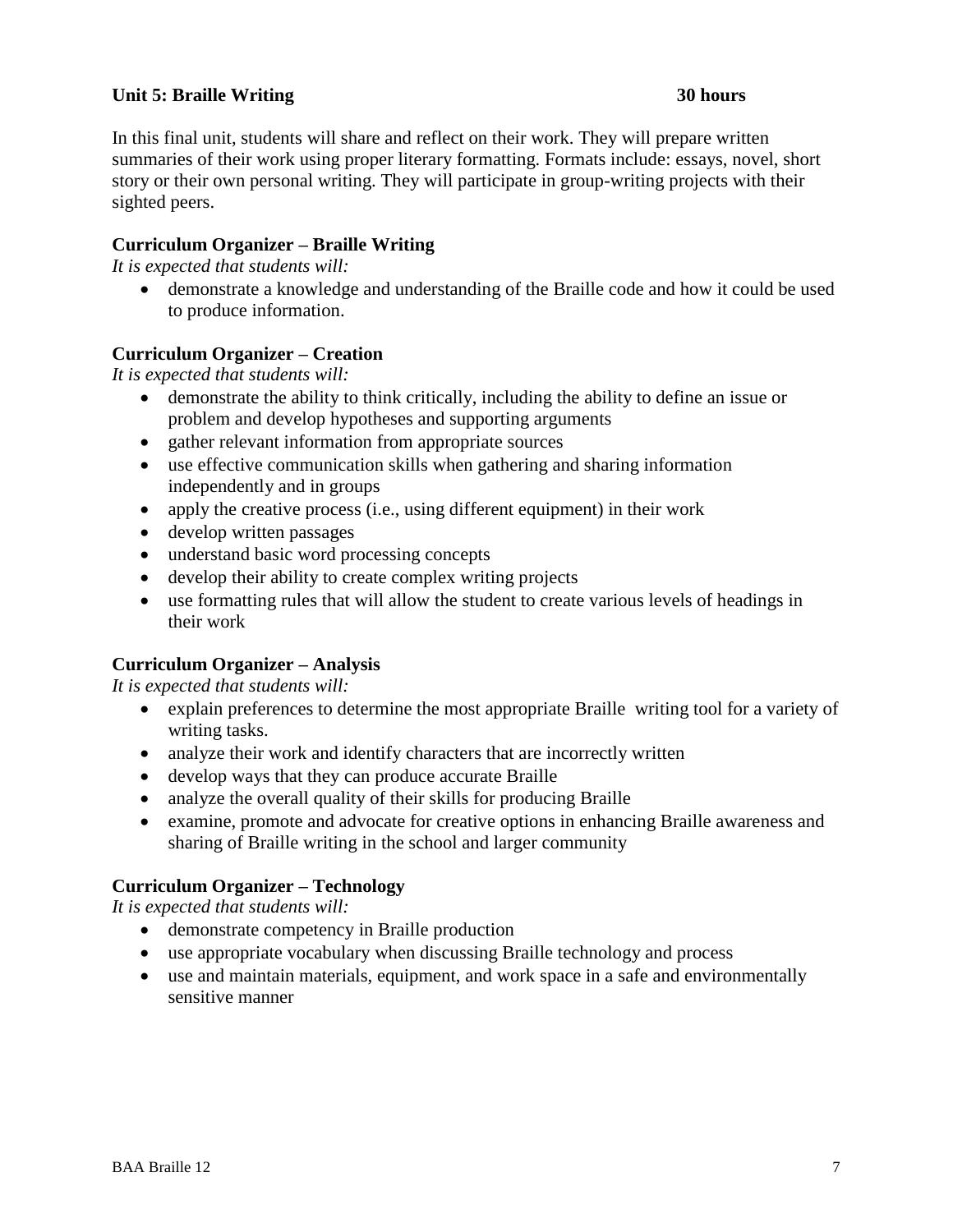# **Unit 5: Braille Writing 30 hours**

In this final unit, students will share and reflect on their work. They will prepare written summaries of their work using proper literary formatting. Formats include: essays, novel, short story or their own personal writing. They will participate in group-writing projects with their sighted peers.

# **Curriculum Organizer – Braille Writing**

*It is expected that students will:*

 demonstrate a knowledge and understanding of the Braille code and how it could be used to produce information.

### **Curriculum Organizer – Creation**

*It is expected that students will:*

- demonstrate the ability to think critically, including the ability to define an issue or problem and develop hypotheses and supporting arguments
- gather relevant information from appropriate sources
- use effective communication skills when gathering and sharing information independently and in groups
- apply the creative process (i.e., using different equipment) in their work
- develop written passages
- understand basic word processing concepts
- develop their ability to create complex writing projects
- use formatting rules that will allow the student to create various levels of headings in their work

### **Curriculum Organizer – Analysis**

*It is expected that students will:*

- explain preferences to determine the most appropriate Braille writing tool for a variety of writing tasks.
- analyze their work and identify characters that are incorrectly written
- develop ways that they can produce accurate Braille
- analyze the overall quality of their skills for producing Braille
- examine, promote and advocate for creative options in enhancing Braille awareness and sharing of Braille writing in the school and larger community

# **Curriculum Organizer – Technology**

*It is expected that students will:*

- demonstrate competency in Braille production
- use appropriate vocabulary when discussing Braille technology and process
- use and maintain materials, equipment, and work space in a safe and environmentally sensitive manner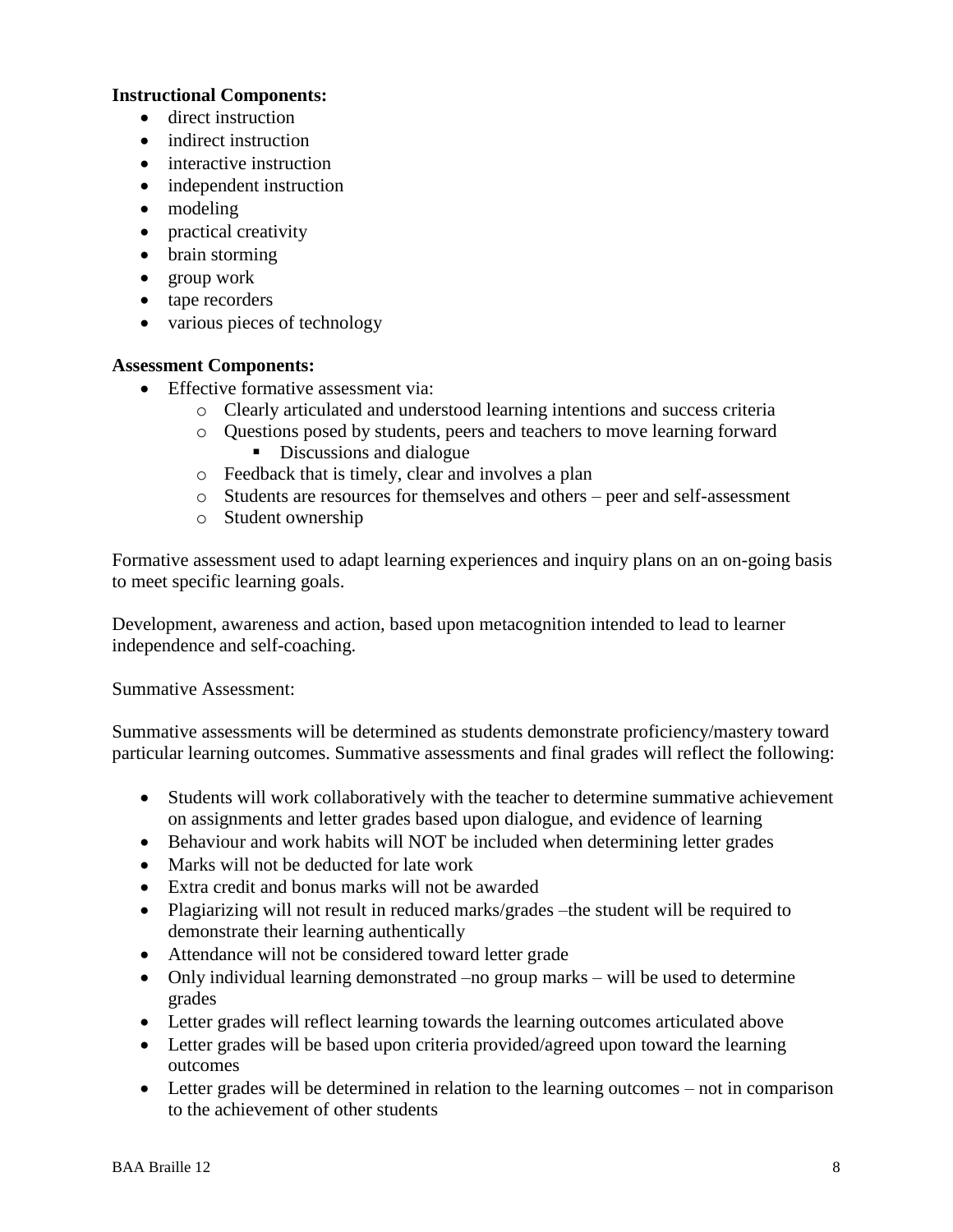# **Instructional Components:**

- direct instruction
- indirect instruction
- interactive instruction
- independent instruction
- modeling
- practical creativity
- brain storming
- group work
- tape recorders
- various pieces of technology

### **Assessment Components:**

- Effective formative assessment via:
	- o Clearly articulated and understood learning intentions and success criteria
	- o Questions posed by students, peers and teachers to move learning forward Discussions and dialogue
	- o Feedback that is timely, clear and involves a plan
	- o Students are resources for themselves and others peer and self-assessment
	- o Student ownership

Formative assessment used to adapt learning experiences and inquiry plans on an on-going basis to meet specific learning goals.

Development, awareness and action, based upon metacognition intended to lead to learner independence and self-coaching.

Summative Assessment:

Summative assessments will be determined as students demonstrate proficiency/mastery toward particular learning outcomes. Summative assessments and final grades will reflect the following:

- Students will work collaboratively with the teacher to determine summative achievement on assignments and letter grades based upon dialogue, and evidence of learning
- Behaviour and work habits will NOT be included when determining letter grades
- Marks will not be deducted for late work
- Extra credit and bonus marks will not be awarded
- Plagiarizing will not result in reduced marks/grades –the student will be required to demonstrate their learning authentically
- Attendance will not be considered toward letter grade
- Only individual learning demonstrated –no group marks will be used to determine grades
- Letter grades will reflect learning towards the learning outcomes articulated above
- Letter grades will be based upon criteria provided/agreed upon toward the learning outcomes
- Letter grades will be determined in relation to the learning outcomes not in comparison to the achievement of other students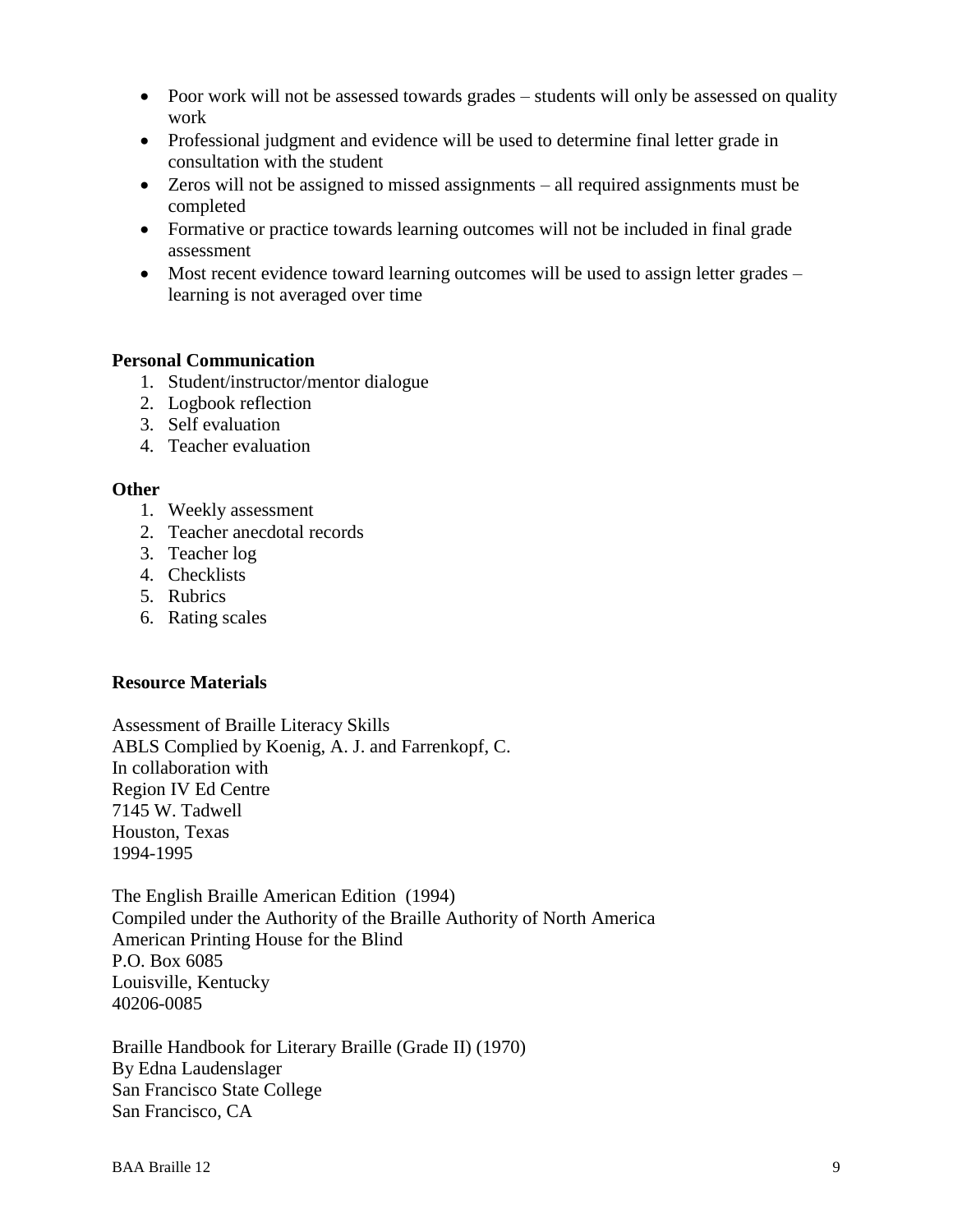- Poor work will not be assessed towards grades students will only be assessed on quality work
- Professional judgment and evidence will be used to determine final letter grade in consultation with the student
- Zeros will not be assigned to missed assignments all required assignments must be completed
- Formative or practice towards learning outcomes will not be included in final grade assessment
- Most recent evidence toward learning outcomes will be used to assign letter grades learning is not averaged over time

#### **Personal Communication**

- 1. Student/instructor/mentor dialogue
- 2. Logbook reflection
- 3. Self evaluation
- 4. Teacher evaluation

#### **Other**

- 1. Weekly assessment
- 2. Teacher anecdotal records
- 3. Teacher log
- 4. Checklists
- 5. Rubrics
- 6. Rating scales

### **Resource Materials**

Assessment of Braille Literacy Skills ABLS Complied by Koenig, A. J. and Farrenkopf, C. In collaboration with Region IV Ed Centre 7145 W. Tadwell Houston, Texas 1994-1995

The English Braille American Edition (1994) Compiled under the Authority of the Braille Authority of North America American Printing House for the Blind P.O. Box 6085 Louisville, Kentucky 40206-0085

Braille Handbook for Literary Braille (Grade II) (1970) By Edna Laudenslager San Francisco State College San Francisco, CA